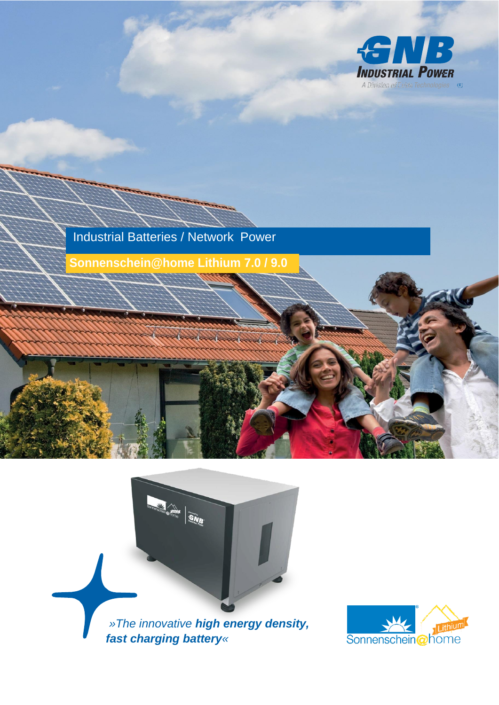





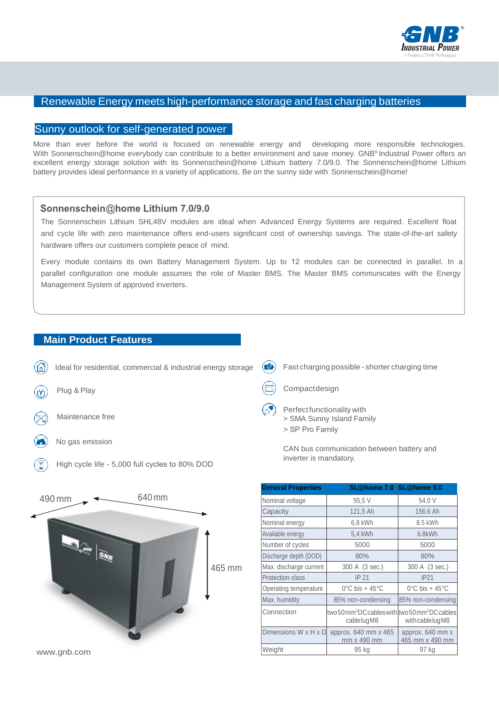

## Renewable Energy meets high-performance storage and fast charging batteries

## Sunny outlook for self-generated power

More than ever before the world is focused on renewable energy and developing more responsible technologies. With Sonnenschein@home everybody can contribute to a better environment and save money. GNB® Industrial Power offers an excellent energy storage solution with its Sonnenschein@home Lithium battery 7.0/9.0. The Sonnenschein@home Lithium battery provides ideal performance in a variety of applications. Be on the sunny side with Sonnenschein@home!

## Sonnenschein@home Lithium 7.0/9.0

The Sonnenschein Lithium SHL48V modules are ideal when Advanced Energy Systems are required. Excellent float and cycle life with zero maintenance offers end-users significant cost of ownership savings. The state-of-the-art safety hardware offers our customers complete peace of mind.

Every module contains its own Battery Management System. Up to 12 modules can be connected in parallel. In a parallel configuration one module assumes the role of Master BMS. The Master BMS communicates with the Energy Management System of approved inverters.

## **Main Product Features**





| <b>General Properties</b> | SL@home 7.0 SL@home 9.0                                                              |                                     |
|---------------------------|--------------------------------------------------------------------------------------|-------------------------------------|
| Nominal voltage           | 55,5 V                                                                               | 54.0 V                              |
| Capacity                  | 121,5 Ah                                                                             | 156.6 Ah                            |
| Nominal energy            | 6,8 kWh                                                                              | 8.5 kWh                             |
| Available energy          | 5,4 kWh                                                                              | 6.8kWh                              |
| Number of cycles          | 5000                                                                                 | 5000                                |
| Discharge depth (DOD)     | 80%                                                                                  | 80%                                 |
| Max. discharge current    | 300 A (3 sec.)                                                                       | 300 A (3 sec.)                      |
| <b>Protection class</b>   | IP 21                                                                                | IP21                                |
| Operating temperature     | $0^{\circ}$ C bis + 45 $^{\circ}$ C                                                  | $0^{\circ}$ C bis + 45 $^{\circ}$ C |
| Max. humidity             | 85% non-condensing                                                                   | 85% non-condensing                  |
| Connection                | two 50 mm <sup>2</sup> DC cables with two 50 mm <sup>2</sup> DC cables<br>cablelugM8 | with cable lug M8                   |
| Dimensions W x H x D      | approx. 640 mm x 465<br>mm x 490 mm                                                  | approx. 640 mm x<br>465 mm x 490 mm |
| Weight                    | 95 kg                                                                                | 97 kg                               |